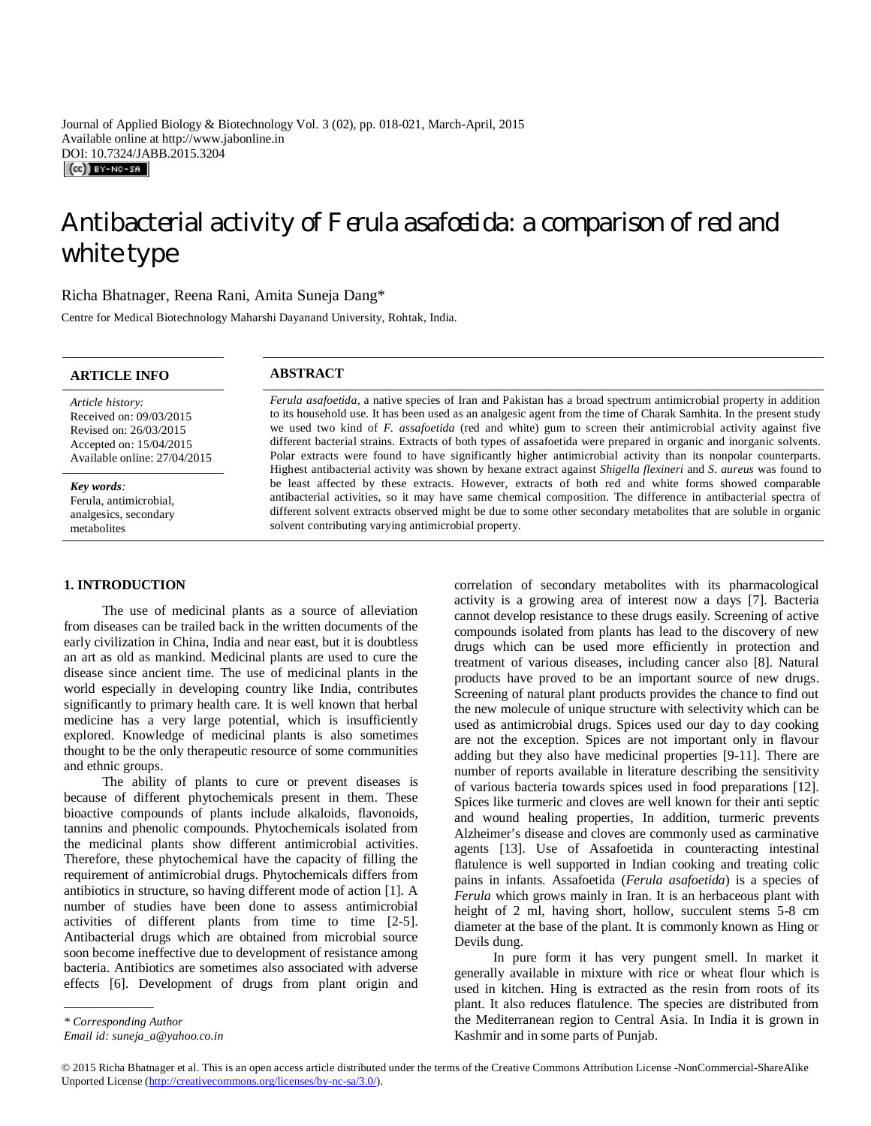Journal of Applied Biology & Biotechnology Vol. 3 (02), pp. 018-021, March-April, 2015 Available online at http://www.jabonline.in DOI: 10.7324/JABB.2015.3204  $(Cc)$  BY-NC-SA

# Antibacterial activity of *Ferula asafoetida:* a comparison of red and white type

# Richa Bhatnager, Reena Rani, Amita Suneja Dang\*

Centre for Medical Biotechnology Maharshi Dayanand University, Rohtak, India.

# **ARTICLE INFO ABSTRACT**

*Article history:* Received on: 09/03/2015 Revised on: 26/03/2015 Accepted on: 15/04/2015 Available online: 27/04/2015

*Key words:* 

Ferula, antimicrobial, analgesics, secondary metabolites

# **1. INTRODUCTION**

The use of medicinal plants as a source of alleviation from diseases can be trailed back in the written documents of the early civilization in China, India and near east, but it is doubtless an art as old as mankind. Medicinal plants are used to cure the disease since ancient time. The use of medicinal plants in the world especially in developing country like India, contributes significantly to primary health care. It is well known that herbal medicine has a very large potential, which is insufficiently explored. Knowledge of medicinal plants is also sometimes thought to be the only therapeutic resource of some communities and ethnic groups.

The ability of plants to cure or prevent diseases is because of different phytochemicals present in them. These bioactive compounds of plants include alkaloids, flavonoids, tannins and phenolic compounds. Phytochemicals isolated from the medicinal plants show different antimicrobial activities. Therefore, these phytochemical have the capacity of filling the requirement of antimicrobial drugs. Phytochemicals differs from antibiotics in structure, so having different mode of action [1]. A number of studies have been done to assess antimicrobial activities of different plants from time to time [2-5]. Antibacterial drugs which are obtained from microbial source soon become ineffective due to development of resistance among bacteria. Antibiotics are sometimes also associated with adverse effects [6]. Development of drugs from plant origin and

correlation of secondary metabolites with its pharmacological activity is a growing area of interest now a days [7]. Bacteria cannot develop resistance to these drugs easily. Screening of active compounds isolated from plants has lead to the discovery of new drugs which can be used more efficiently in protection and treatment of various diseases, including cancer also [8]. Natural products have proved to be an important source of new drugs. Screening of natural plant products provides the chance to find out the new molecule of unique structure with selectivity which can be used as antimicrobial drugs. Spices used our day to day cooking are not the exception. Spices are not important only in flavour adding but they also have medicinal properties [9-11]. There are number of reports available in literature describing the sensitivity of various bacteria towards spices used in food preparations [12]. Spices like turmeric and cloves are well known for their anti septic and wound healing properties, In addition, turmeric prevents Alzheimer's disease and cloves are commonly used as carminative agents [13]. Use of Assafoetida in counteracting intestinal flatulence is well supported in Indian cooking and treating colic pains in infants. Assafoetida (*Ferula asafoetida*) is a species of *Ferula* which grows mainly in Iran. It is an herbaceous plant with height of 2 ml, having short, hollow, succulent stems 5-8 cm diameter at the base of the plant. It is commonly known as Hing or Devils dung.

In pure form it has very pungent smell. In market it generally available in mixture with rice or wheat flour which is used in kitchen. Hing is extracted as the resin from roots of its plant. It also reduces flatulence. The species are distributed from the Mediterranean region to Central Asia. In India it is grown in Kashmir and in some parts of Punjab.

© 2015 Richa Bhatnager et al. This is an open access article distributed under the terms of the Creative Commons Attribution License -NonCommercial-ShareAlike Unported License (http://creativecommons.org/licenses/by-nc-sa/3.0/).

*Ferula asafoetida,* a native species of Iran and Pakistan has a broad spectrum antimicrobial property in addition to its household use. It has been used as an analgesic agent from the time of Charak Samhita. In the present study we used two kind of *F. assafoetida* (red and white) gum to screen their antimicrobial activity against five different bacterial strains. Extracts of both types of assafoetida were prepared in organic and inorganic solvents. Polar extracts were found to have significantly higher antimicrobial activity than its nonpolar counterparts. Highest antibacterial activity was shown by hexane extract against *Shigella flexineri* and *S. aureus* was found to be least affected by these extracts. However, extracts of both red and white forms showed comparable antibacterial activities, so it may have same chemical composition. The difference in antibacterial spectra of different solvent extracts observed might be due to some other secondary metabolites that are soluble in organic solvent contributing varying antimicrobial property.

. *\* Corresponding Author*

*Email id: suneja\_a@yahoo.co.in*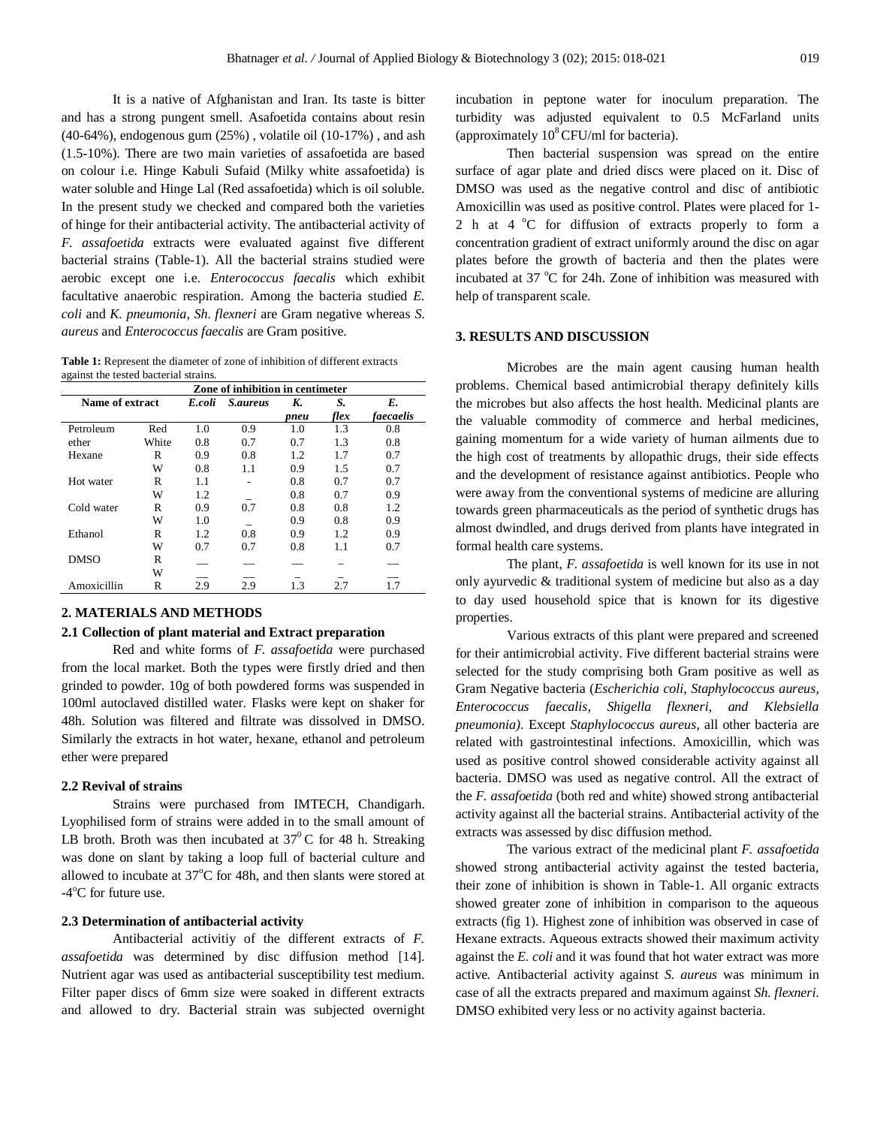It is a native of Afghanistan and Iran. Its taste is bitter and has a strong pungent smell. Asafoetida contains about resin (40-64%), endogenous gum (25%) , volatile oil (10-17%) , and ash (1.5-10%). There are two main varieties of assafoetida are based on colour i.e. Hinge Kabuli Sufaid (Milky white assafoetida) is water soluble and Hinge Lal (Red assafoetida) which is oil soluble. In the present study we checked and compared both the varieties of hinge for their antibacterial activity. The antibacterial activity of *F. assafoetida* extracts were evaluated against five different bacterial strains (Table-1). All the bacterial strains studied were aerobic except one i.e. *Enterococcus faecalis* which exhibit facultative anaerobic respiration. Among the bacteria studied *E. coli* and *K. pneumonia*, *Sh. flexneri* are Gram negative whereas *S. aureus* and *Enterococcus faecalis* are Gram positive.

**Table 1:** Represent the diameter of zone of inhibition of different extracts against the tested bacterial strains.

|                 | Zone of inhibition in centimeter |        |                 |      |      |           |
|-----------------|----------------------------------|--------|-----------------|------|------|-----------|
| Name of extract |                                  | E.coli | <i>S.aureus</i> | K.   | S.   | E.        |
|                 |                                  |        |                 | pneu | flex | faecaelis |
| Petroleum       | Red                              | 1.0    | 0.9             | 1.0  | 1.3  | 0.8       |
| ether           | White                            | 0.8    | 0.7             | 0.7  | 1.3  | 0.8       |
| Hexane          | R                                | 0.9    | 0.8             | 1.2  | 1.7  | 0.7       |
|                 | W                                | 0.8    | 1.1             | 0.9  | 1.5  | 0.7       |
| Hot water       | R                                | 1.1    |                 | 0.8  | 0.7  | 0.7       |
|                 | W                                | 1.2    |                 | 0.8  | 0.7  | 0.9       |
| Cold water      | R                                | 0.9    | 0.7             | 0.8  | 0.8  | 1.2       |
|                 | W                                | 1.0    |                 | 0.9  | 0.8  | 0.9       |
| Ethanol         | R                                | 1.2    | 0.8             | 0.9  | 1.2  | 0.9       |
|                 | W                                | 0.7    | 0.7             | 0.8  | 1.1  | 0.7       |
| <b>DMSO</b>     | R                                |        |                 |      |      |           |
|                 | W                                |        |                 |      |      |           |
| Amoxicillin     | R                                | 2.9    | 2.9             | 13   | 2.7  | 17        |

# **2. MATERIALS AND METHODS**

# **2.1 Collection of plant material and Extract preparation**

Red and white forms of *F. assafoetida* were purchased from the local market. Both the types were firstly dried and then grinded to powder. 10g of both powdered forms was suspended in 100ml autoclaved distilled water. Flasks were kept on shaker for 48h. Solution was filtered and filtrate was dissolved in DMSO. Similarly the extracts in hot water, hexane, ethanol and petroleum ether were prepared

#### **2.2 Revival of strains**

Strains were purchased from IMTECH, Chandigarh. Lyophilised form of strains were added in to the small amount of LB broth. Broth was then incubated at  $37^{\circ}$ C for 48 h. Streaking was done on slant by taking a loop full of bacterial culture and allowed to incubate at  $37^{\circ}$ C for 48h, and then slants were stored at -4°C for future use.

### **2.3 Determination of antibacterial activity**

Antibacterial activitiy of the different extracts of *F. assafoetida* was determined by disc diffusion method [14]. Nutrient agar was used as antibacterial susceptibility test medium. Filter paper discs of 6mm size were soaked in different extracts and allowed to dry. Bacterial strain was subjected overnight incubation in peptone water for inoculum preparation. The turbidity was adjusted equivalent to 0.5 McFarland units (approximately  $10^8$  CFU/ml for bacteria).

Then bacterial suspension was spread on the entire surface of agar plate and dried discs were placed on it. Disc of DMSO was used as the negative control and disc of antibiotic Amoxicillin was used as positive control. Plates were placed for 1- 2 h at  $4^{\circ}$ C for diffusion of extracts properly to form a concentration gradient of extract uniformly around the disc on agar plates before the growth of bacteria and then the plates were incubated at  $37 \text{ °C}$  for 24h. Zone of inhibition was measured with help of transparent scale.

# **3. RESULTS AND DISCUSSION**

Microbes are the main agent causing human health problems. Chemical based antimicrobial therapy definitely kills the microbes but also affects the host health. Medicinal plants are the valuable commodity of commerce and herbal medicines, gaining momentum for a wide variety of human ailments due to the high cost of treatments by allopathic drugs, their side effects and the development of resistance against antibiotics. People who were away from the conventional systems of medicine are alluring towards green pharmaceuticals as the period of synthetic drugs has almost dwindled, and drugs derived from plants have integrated in formal health care systems.

The plant, *F. assafoetida* is well known for its use in not only ayurvedic & traditional system of medicine but also as a day to day used household spice that is known for its digestive properties.

Various extracts of this plant were prepared and screened for their antimicrobial activity. Five different bacterial strains were selected for the study comprising both Gram positive as well as Gram Negative bacteria (*Escherichia coli, Staphylococcus aureus, Enterococcus faecalis, Shigella flexneri, and Klebsiella pneumonia)*. Except *Staphylococcus aureus,* all other bacteria are related with gastrointestinal infections. Amoxicillin, which was used as positive control showed considerable activity against all bacteria. DMSO was used as negative control. All the extract of the *F. assafoetida* (both red and white) showed strong antibacterial activity against all the bacterial strains. Antibacterial activity of the extracts was assessed by disc diffusion method.

The various extract of the medicinal plant *F. assafoetida*  showed strong antibacterial activity against the tested bacteria, their zone of inhibition is shown in Table-1. All organic extracts showed greater zone of inhibition in comparison to the aqueous extracts (fig 1). Highest zone of inhibition was observed in case of Hexane extracts. Aqueous extracts showed their maximum activity against the *E. coli* and it was found that hot water extract was more active*.* Antibacterial activity against *S. aureus* was minimum in case of all the extracts prepared and maximum against *Sh. flexneri.*  DMSO exhibited very less or no activity against bacteria.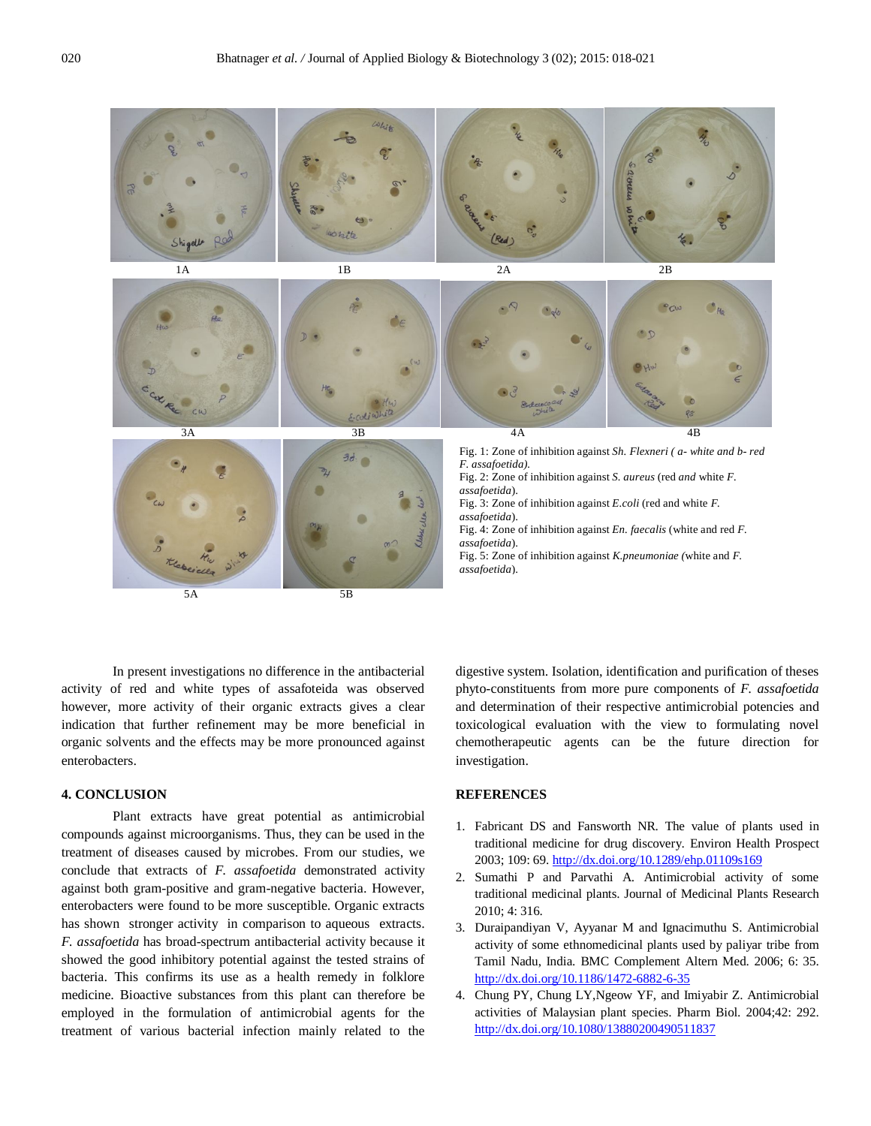

In present investigations no difference in the antibacterial activity of red and white types of assafoteida was observed however, more activity of their organic extracts gives a clear indication that further refinement may be more beneficial in organic solvents and the effects may be more pronounced against enterobacters.

# **4. CONCLUSION**

Plant extracts have great potential as antimicrobial compounds against microorganisms. Thus, they can be used in the treatment of diseases caused by microbes. From our studies, we conclude that extracts of *F. assafoetida* demonstrated activity against both gram-positive and gram-negative bacteria. However, enterobacters were found to be more susceptible. Organic extracts has shown stronger activity in comparison to aqueous extracts. *F. assafoetida* has broad-spectrum antibacterial activity because it showed the good inhibitory potential against the tested strains of bacteria. This confirms its use as a health remedy in folklore medicine. Bioactive substances from this plant can therefore be employed in the formulation of antimicrobial agents for the treatment of various bacterial infection mainly related to the

digestive system. Isolation, identification and purification of theses phyto-constituents from more pure components of *F. assafoetida* and determination of their respective antimicrobial potencies and toxicological evaluation with the view to formulating novel chemotherapeutic agents can be the future direction for investigation.

# **REFERENCES**

- 1. Fabricant DS and Fansworth NR. The value of plants used in traditional medicine for drug discovery. Environ Health Prospect 2003; 109: 69. http://dx.doi.org/10.1289/ehp.01109s169
- 2. Sumathi P and Parvathi A. Antimicrobial activity of some traditional medicinal plants. Journal of Medicinal Plants Research 2010; 4: 316.
- 3. Duraipandiyan V, Ayyanar M and Ignacimuthu S. Antimicrobial activity of some ethnomedicinal plants used by paliyar tribe from Tamil Nadu, India. BMC Complement Altern Med. 2006; 6: 35. http://dx.doi.org/10.1186/1472-6882-6-35
- 4. Chung PY, Chung LY,Ngeow YF, and Imiyabir Z. Antimicrobial activities of Malaysian plant species. Pharm Biol. 2004;42: 292. http://dx.doi.org/10.1080/13880200490511837